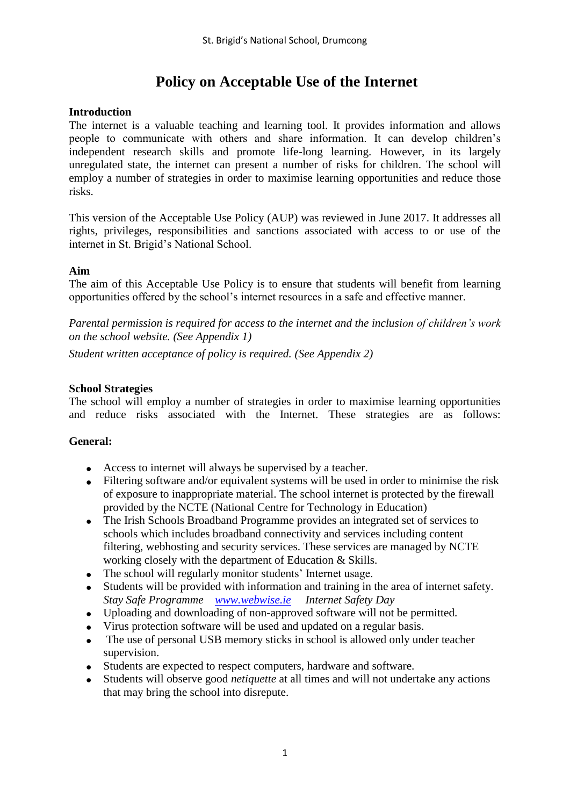# **Policy on Acceptable Use of the Internet**

## **Introduction**

The internet is a valuable teaching and learning tool. It provides information and allows people to communicate with others and share information. It can develop children's independent research skills and promote life-long learning. However, in its largely unregulated state, the internet can present a number of risks for children. The school will employ a number of strategies in order to maximise learning opportunities and reduce those risks.

This version of the Acceptable Use Policy (AUP) was reviewed in June 2017. It addresses all rights, privileges, responsibilities and sanctions associated with access to or use of the internet in St. Brigid's National School.

#### **Aim**

The aim of this Acceptable Use Policy is to ensure that students will benefit from learning opportunities offered by the school's internet resources in a safe and effective manner.

*Parental permission is required for access to the internet and the inclusion of children's work on the school website. (See Appendix 1)*

*Student written acceptance of policy is required. (See Appendix 2)*

#### **School Strategies**

The school will employ a number of strategies in order to maximise learning opportunities and reduce risks associated with the Internet. These strategies are as follows:

#### **General:**

- Access to internet will always be supervised by a teacher.
- Filtering software and/or equivalent systems will be used in order to minimise the risk of exposure to inappropriate material. The school internet is protected by the firewall provided by the NCTE (National Centre for Technology in Education)
- The Irish Schools Broadband Programme provides an integrated set of services to schools which includes broadband connectivity and services including content filtering, webhosting and security services. These services are managed by NCTE working closely with the department of Education & Skills.
- The school will regularly monitor students' Internet usage.
- Students will be provided with information and training in the area of internet safety. *Stay Safe Programme [www.webwise.ie](http://www.webwise.ie/) Internet Safety Day*
- Uploading and downloading of non-approved software will not be permitted.
- Virus protection software will be used and updated on a regular basis.
- The use of personal USB memory sticks in school is allowed only under teacher supervision.
- Students are expected to respect computers, hardware and software.
- Students will observe good *netiquette* at all times and will not undertake any actions that may bring the school into disrepute.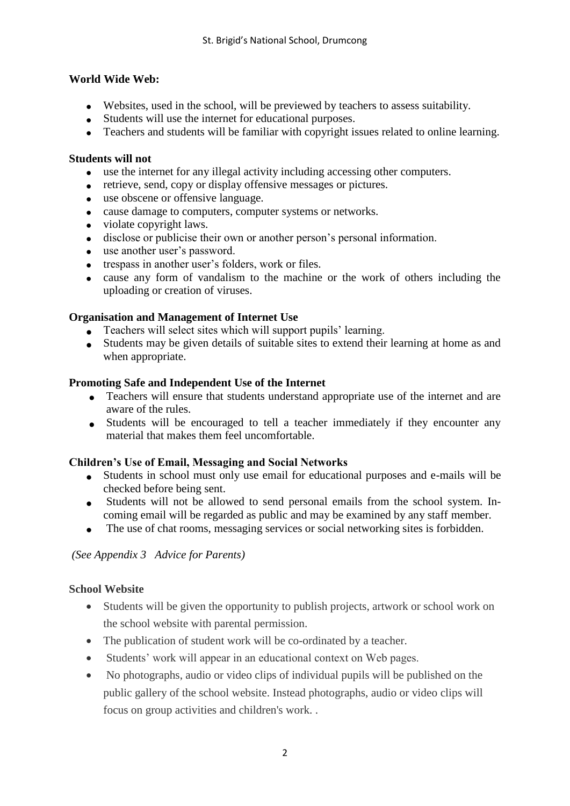## **World Wide Web:**

- Websites, used in the school, will be previewed by teachers to assess suitability.
- Students will use the internet for educational purposes.
- Teachers and students will be familiar with copyright issues related to online learning.

## **Students will not**

- use the internet for any illegal activity including accessing other computers.
- retrieve, send, copy or display offensive messages or pictures.
- use obscene or offensive language.
- cause damage to computers, computer systems or networks.
- violate copyright laws.
- disclose or publicise their own or another person's personal information.
- use another user's password.
- trespass in another user's folders, work or files.
- cause any form of vandalism to the machine or the work of others including the uploading or creation of viruses.

## **Organisation and Management of Internet Use**

- Teachers will select sites which will support pupils' learning.
- Students may be given details of suitable sites to extend their learning at home as and when appropriate.

## **Promoting Safe and Independent Use of the Internet**

- Teachers will ensure that students understand appropriate use of the internet and are aware of the rules.
- Students will be encouraged to tell a teacher immediately if they encounter any material that makes them feel uncomfortable.

## **Children's Use of Email, Messaging and Social Networks**

- Students in school must only use email for educational purposes and e-mails will be checked before being sent.
- Students will not be allowed to send personal emails from the school system. Incoming email will be regarded as public and may be examined by any staff member.
- The use of chat rooms, messaging services or social networking sites is forbidden.

#### *(See Appendix 3 Advice for Parents)*

## **School Website**

- Students will be given the opportunity to publish projects, artwork or school work on the school website with parental permission.
- The publication of student work will be co-ordinated by a teacher.
- Students' work will appear in an educational context on Web pages.
- No photographs, audio or video clips of individual pupils will be published on the public gallery of the school website. Instead photographs, audio or video clips will focus on group activities and children's work. .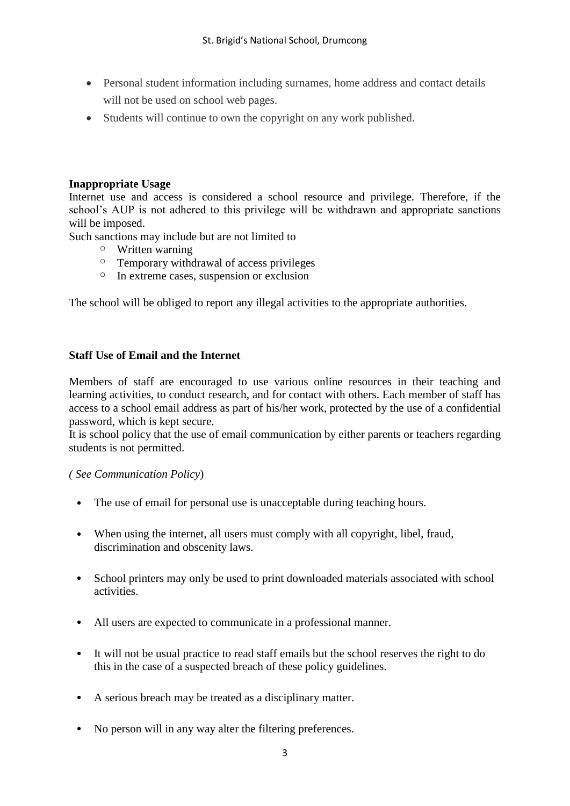- Personal student information including surnames, home address and contact details will not be used on school web pages.
- Students will continue to own the copyright on any work published.

#### **Inappropriate Usage**

Internet use and access is considered a school resource and privilege. Therefore, if the school's AUP is not adhered to this privilege will be withdrawn and appropriate sanctions will be imposed.

Such sanctions may include but are not limited to

- o Written warning
- o Temporary withdrawal of access privileges
- o In extreme cases, suspension or exclusion

The school will be obliged to report any illegal activities to the appropriate authorities.

#### **Staff Use of Email and the Internet**

Members of staff are encouraged to use various online resources in their teaching and learning activities, to conduct research, and for contact with others. Each member of staff has access to a school email address as part of his/her work, protected by the use of a confidential password, which is kept secure.

It is school policy that the use of email communication by either parents or teachers regarding students is not permitted.

#### *( See Communication Policy*)

- The use of email for personal use is unacceptable during teaching hours.
- When using the internet, all users must comply with all copyright, libel, fraud, discrimination and obscenity laws.
- School printers may only be used to print downloaded materials associated with school activities.
- All users are expected to communicate in a professional manner.
- It will not be usual practice to read staff emails but the school reserves the right to do this in the case of a suspected breach of these policy guidelines.
- A serious breach may be treated as a disciplinary matter.
- No person will in any way alter the filtering preferences.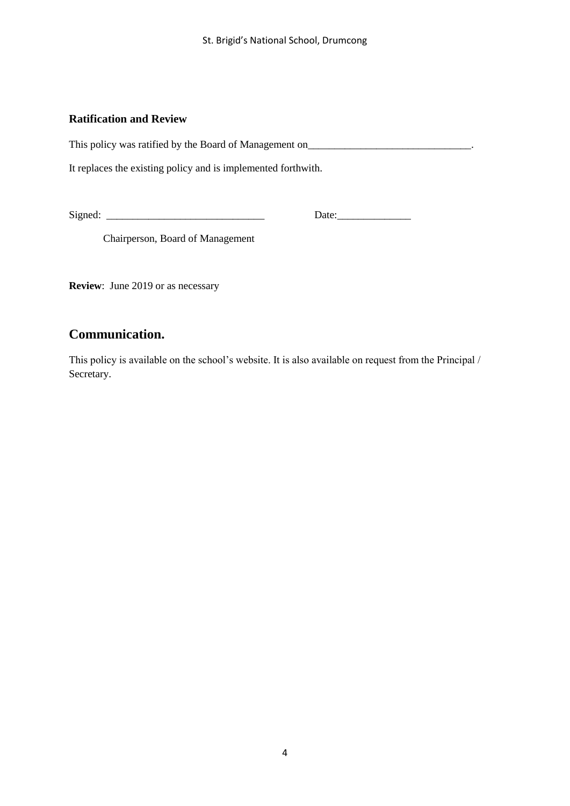#### **Ratification and Review**

This policy was ratified by the Board of Management on\_\_\_\_\_\_\_\_\_\_\_\_\_\_\_\_\_\_\_\_\_\_\_\_\_\_\_

It replaces the existing policy and is implemented forthwith.

Signed:  $\Box$ 

Chairperson, Board of Management

**Review**: June 2019 or as necessary

## **Communication.**

This policy is available on the school's website. It is also available on request from the Principal / Secretary.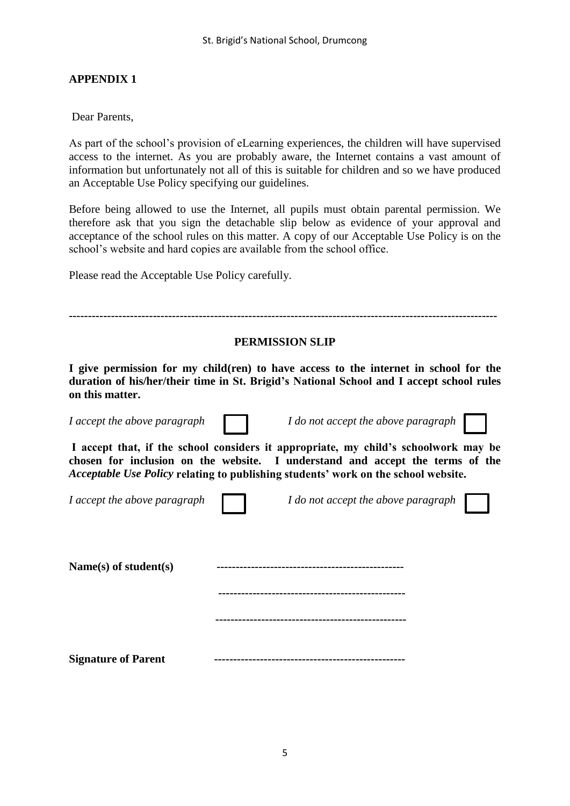#### **APPENDIX 1**

Dear Parents,

As part of the school's provision of eLearning experiences, the children will have supervised access to the internet. As you are probably aware, the Internet contains a vast amount of information but unfortunately not all of this is suitable for children and so we have produced an Acceptable Use Policy specifying our guidelines.

Before being allowed to use the Internet, all pupils must obtain parental permission. We therefore ask that you sign the detachable slip below as evidence of your approval and acceptance of the school rules on this matter. A copy of our Acceptable Use Policy is on the school's website and hard copies are available from the school office.

Please read the Acceptable Use Policy carefully.

| <b>PERMISSION SLIP</b>                                                                                                                                                                                                                                     |  |                                                                                                                                                                                   |  |
|------------------------------------------------------------------------------------------------------------------------------------------------------------------------------------------------------------------------------------------------------------|--|-----------------------------------------------------------------------------------------------------------------------------------------------------------------------------------|--|
| on this matter.                                                                                                                                                                                                                                            |  | I give permission for my child (ren) to have access to the internet in school for the<br>duration of his/her/their time in St. Brigid's National School and I accept school rules |  |
| I accept the above paragraph                                                                                                                                                                                                                               |  | I do not accept the above paragraph                                                                                                                                               |  |
| I accept that, if the school considers it appropriate, my child's schoolwork may be<br>chosen for inclusion on the website. I understand and accept the terms of the<br>Acceptable Use Policy relating to publishing students' work on the school website. |  |                                                                                                                                                                                   |  |
| I accept the above paragraph                                                                                                                                                                                                                               |  | I do not accept the above paragraph                                                                                                                                               |  |
| Name(s) of student(s)                                                                                                                                                                                                                                      |  |                                                                                                                                                                                   |  |
|                                                                                                                                                                                                                                                            |  |                                                                                                                                                                                   |  |
|                                                                                                                                                                                                                                                            |  |                                                                                                                                                                                   |  |
| <b>Signature of Parent</b>                                                                                                                                                                                                                                 |  |                                                                                                                                                                                   |  |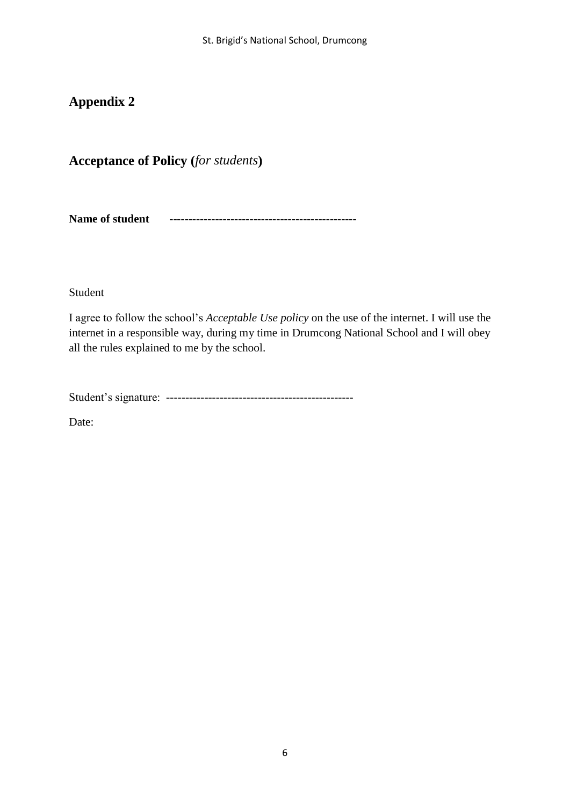## **Appendix 2**

## **Acceptance of Policy (***for students***)**

**Name of student -------------------------------------------------** 

Student

I agree to follow the school's *Acceptable Use policy* on the use of the internet. I will use the internet in a responsible way, during my time in Drumcong National School and I will obey all the rules explained to me by the school.

Student's signature: -------------------------------------------------

Date: